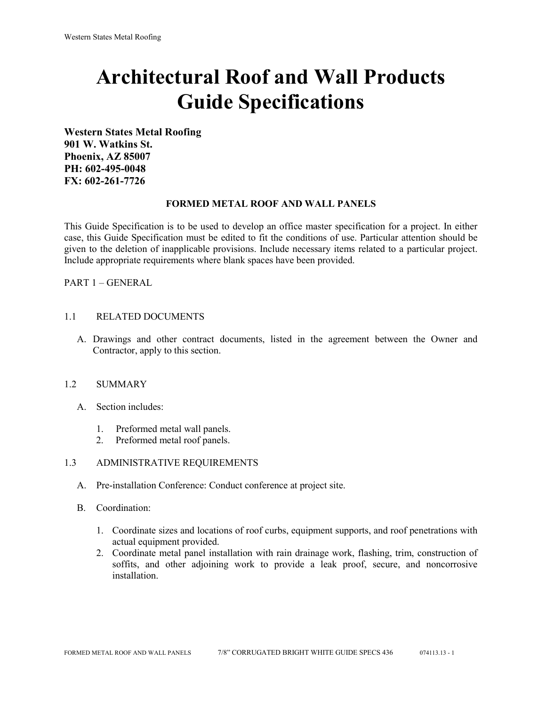# **Architectural Roof and Wall Products Guide Specifications**

**Western States Metal Roofing 901 W. Watkins St. Phoenix, AZ 85007 PH: 602-495-0048 FX: 602-261-7726**

### **FORMED METAL ROOF AND WALL PANELS**

This Guide Specification is to be used to develop an office master specification for a project. In either case, this Guide Specification must be edited to fit the conditions of use. Particular attention should be given to the deletion of inapplicable provisions. Include necessary items related to a particular project. Include appropriate requirements where blank spaces have been provided.

PART 1 – GENERAL

### 1.1 RELATED DOCUMENTS

A. Drawings and other contract documents, listed in the agreement between the Owner and Contractor, apply to this section.

#### 1.2 SUMMARY

- A. Section includes:
	- 1. Preformed metal wall panels.
	- 2. Preformed metal roof panels.

#### 1.3 ADMINISTRATIVE REQUIREMENTS

- A. Pre-installation Conference: Conduct conference at project site.
- B. Coordination:
	- 1. Coordinate sizes and locations of roof curbs, equipment supports, and roof penetrations with actual equipment provided.
	- 2. Coordinate metal panel installation with rain drainage work, flashing, trim, construction of soffits, and other adjoining work to provide a leak proof, secure, and noncorrosive installation.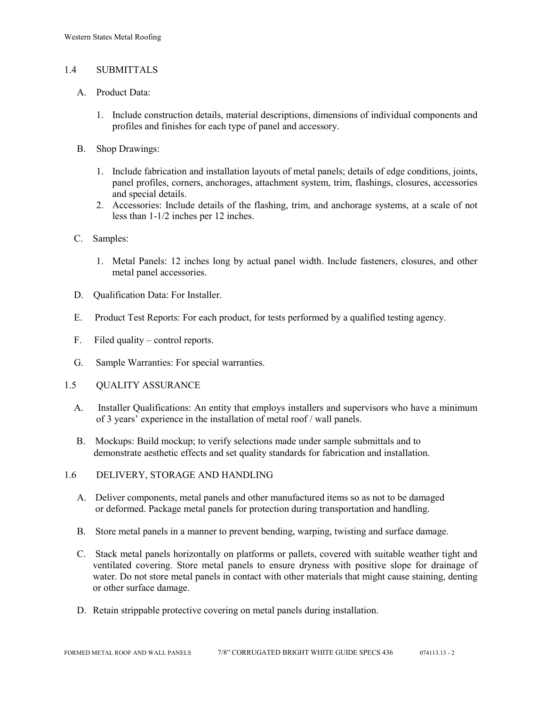# 1.4 SUBMITTALS

- A. Product Data:
	- 1. Include construction details, material descriptions, dimensions of individual components and profiles and finishes for each type of panel and accessory.
- B. Shop Drawings:
	- 1. Include fabrication and installation layouts of metal panels; details of edge conditions, joints, panel profiles, corners, anchorages, attachment system, trim, flashings, closures, accessories and special details.
	- 2. Accessories: Include details of the flashing, trim, and anchorage systems, at a scale of not less than 1-1/2 inches per 12 inches.
- C. Samples:
	- 1. Metal Panels: 12 inches long by actual panel width. Include fasteners, closures, and other metal panel accessories.
- D. Qualification Data: For Installer.
- E. Product Test Reports: For each product, for tests performed by a qualified testing agency.
- F. Filed quality control reports.
- G. Sample Warranties: For special warranties.
- 1.5 QUALITY ASSURANCE
	- A. Installer Qualifications: An entity that employs installers and supervisors who have a minimum of 3 years' experience in the installation of metal roof / wall panels.
	- B. Mockups: Build mockup; to verify selections made under sample submittals and to demonstrate aesthetic effects and set quality standards for fabrication and installation.
- 1.6 DELIVERY, STORAGE AND HANDLING
	- A. Deliver components, metal panels and other manufactured items so as not to be damaged or deformed. Package metal panels for protection during transportation and handling.
	- B. Store metal panels in a manner to prevent bending, warping, twisting and surface damage.
	- C. Stack metal panels horizontally on platforms or pallets, covered with suitable weather tight and ventilated covering. Store metal panels to ensure dryness with positive slope for drainage of water. Do not store metal panels in contact with other materials that might cause staining, denting or other surface damage.
	- D. Retain strippable protective covering on metal panels during installation.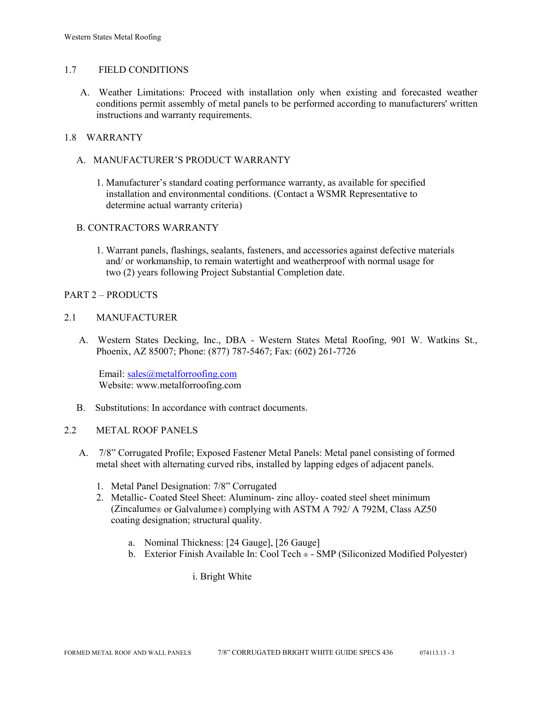## 1.7 FIELD CONDITIONS

A. Weather Limitations: Proceed with installation only when existing and forecasted weather conditions permit assembly of metal panels to be performed according to manufacturers' written instructions and warranty requirements.

## 1.8 WARRANTY

- A. MANUFACTURER'S PRODUCT WARRANTY
	- 1. Manufacturer's standard coating performance warranty, as available for specified installation and environmental conditions. (Contact a WSMR Representative to determine actual warranty criteria)

# B. CONTRACTORS WARRANTY

1. Warrant panels, flashings, sealants, fasteners, and accessories against defective materials and/ or workmanship, to remain watertight and weatherproof with normal usage for two (2) years following Project Substantial Completion date.

### PART 2 – PRODUCTS

### 2.1 MANUFACTURER

 A. Western States Decking, Inc., DBA - Western States Metal Roofing, 901 W. Watkins St., Phoenix, AZ 85007; Phone: (877) 787-5467; Fax: (602) 261-7726

Email: [sales@metalforroofing.com](mailto:sales@metalforroofing.com) Website: www.metalforroofing.com

B. Substitutions: In accordance with contract documents.

#### 2.2 METAL ROOF PANELS

- A. 7/8" Corrugated Profile; Exposed Fastener Metal Panels: Metal panel consisting of formed metal sheet with alternating curved ribs, installed by lapping edges of adjacent panels.
	- 1. Metal Panel Designation: 7/8" Corrugated
	- 2. Metallic- Coated Steel Sheet: Aluminum- zinc alloy- coated steel sheet minimum (Zincalume® or Galvalume®) complying with ASTM A 792/ A 792M, Class AZ50 coating designation; structural quality.
		- a. Nominal Thickness: [24 Gauge], [26 Gauge]
		- b. Exterior Finish Available In: Cool Tech ® SMP (Siliconized Modified Polyester)

i. Bright White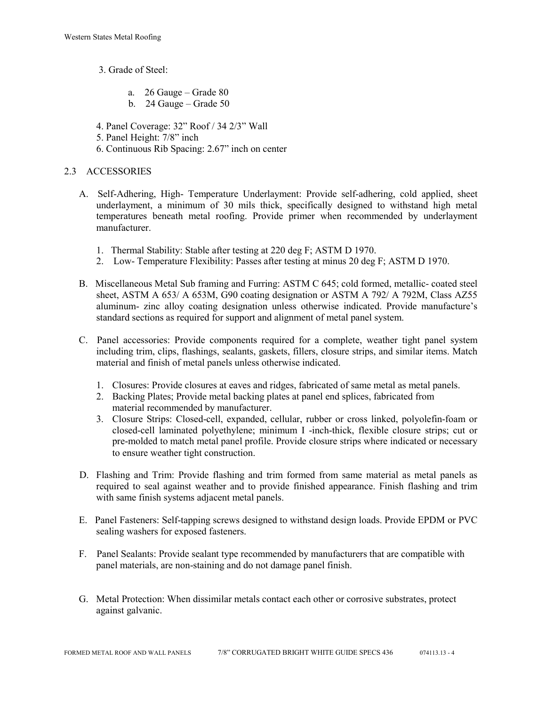- 3. Grade of Steel:
	- a. 26 Gauge Grade 80
	- b. 24 Gauge Grade 50

4. Panel Coverage: 32" Roof / 34 2/3" Wall

- 5. Panel Height: 7/8" inch
- 6. Continuous Rib Spacing: 2.67" inch on center

# 2.3 ACCESSORIES

- A. Self-Adhering, High- Temperature Underlayment: Provide self-adhering, cold applied, sheet underlayment, a minimum of 30 mils thick, specifically designed to withstand high metal temperatures beneath metal roofing. Provide primer when recommended by underlayment manufacturer.
	- 1. Thermal Stability: Stable after testing at 220 deg F; ASTM D 1970.
	- 2. Low- Temperature Flexibility: Passes after testing at minus 20 deg F; ASTM D 1970.
- B. Miscellaneous Metal Sub framing and Furring: ASTM C 645; cold formed, metallic- coated steel sheet, ASTM A 653/ A 653M, G90 coating designation or ASTM A 792/ A 792M, Class AZ55 aluminum- zinc alloy coating designation unless otherwise indicated. Provide manufacture's standard sections as required for support and alignment of metal panel system.
- C. Panel accessories: Provide components required for a complete, weather tight panel system including trim, clips, flashings, sealants, gaskets, fillers, closure strips, and similar items. Match material and finish of metal panels unless otherwise indicated.
	- 1. Closures: Provide closures at eaves and ridges, fabricated of same metal as metal panels.
	- 2. Backing Plates; Provide metal backing plates at panel end splices, fabricated from material recommended by manufacturer.
	- 3. Closure Strips: Closed-cell, expanded, cellular, rubber or cross linked, polyolefin-foam or closed-cell laminated polyethylene; minimum I -inch-thick, flexible closure strips; cut or pre-molded to match metal panel profile. Provide closure strips where indicated or necessary to ensure weather tight construction.
- D. Flashing and Trim: Provide flashing and trim formed from same material as metal panels as required to seal against weather and to provide finished appearance. Finish flashing and trim with same finish systems adjacent metal panels.
- E. Panel Fasteners: Self-tapping screws designed to withstand design loads. Provide EPDM or PVC sealing washers for exposed fasteners.
- F. Panel Sealants: Provide sealant type recommended by manufacturers that are compatible with panel materials, are non-staining and do not damage panel finish.
- G. Metal Protection: When dissimilar metals contact each other or corrosive substrates, protect against galvanic.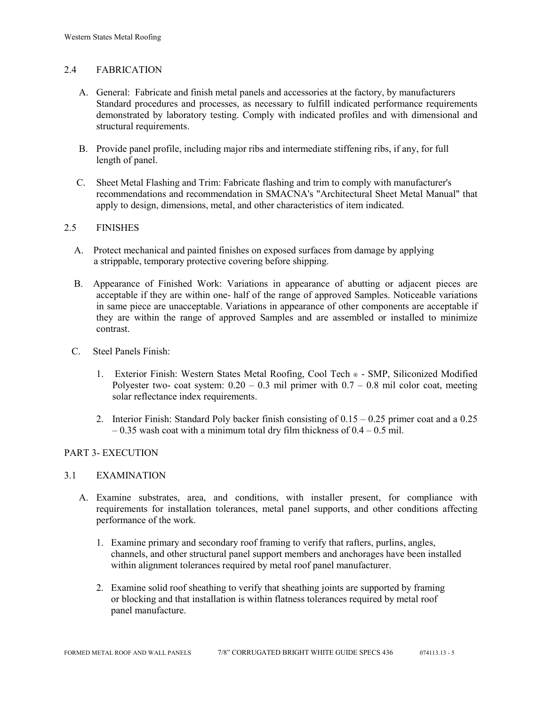# 2.4 FABRICATION

- A. General: Fabricate and finish metal panels and accessories at the factory, by manufacturers Standard procedures and processes, as necessary to fulfill indicated performance requirements demonstrated by laboratory testing. Comply with indicated profiles and with dimensional and structural requirements.
- B. Provide panel profile, including major ribs and intermediate stiffening ribs, if any, for full length of panel.
- C. Sheet Metal Flashing and Trim: Fabricate flashing and trim to comply with manufacturer's recommendations and recommendation in SMACNA's "Architectural Sheet Metal Manual" that apply to design, dimensions, metal, and other characteristics of item indicated.

# 2.5 FINISHES

- A. Protect mechanical and painted finishes on exposed surfaces from damage by applying a strippable, temporary protective covering before shipping.
- B. Appearance of Finished Work: Variations in appearance of abutting or adjacent pieces are acceptable if they are within one- half of the range of approved Samples. Noticeable variations in same piece are unacceptable. Variations in appearance of other components are acceptable if they are within the range of approved Samples and are assembled or installed to minimize contrast.
- C. Steel Panels Finish:
	- 1. Exterior Finish: Western States Metal Roofing, Cool Tech ® SMP, Siliconized Modified Polyester two- coat system:  $0.20 - 0.3$  mil primer with  $0.7 - 0.8$  mil color coat, meeting solar reflectance index requirements.
	- 2. Interior Finish: Standard Poly backer finish consisting of  $0.15 0.25$  primer coat and a 0.25  $-0.35$  wash coat with a minimum total dry film thickness of  $0.4 - 0.5$  mil.

# PART 3- EXECUTION

#### 3.1 EXAMINATION

- A. Examine substrates, area, and conditions, with installer present, for compliance with requirements for installation tolerances, metal panel supports, and other conditions affecting performance of the work.
	- 1. Examine primary and secondary roof framing to verify that rafters, purlins, angles, channels, and other structural panel support members and anchorages have been installed within alignment tolerances required by metal roof panel manufacturer.
	- 2. Examine solid roof sheathing to verify that sheathing joints are supported by framing or blocking and that installation is within flatness tolerances required by metal roof panel manufacture.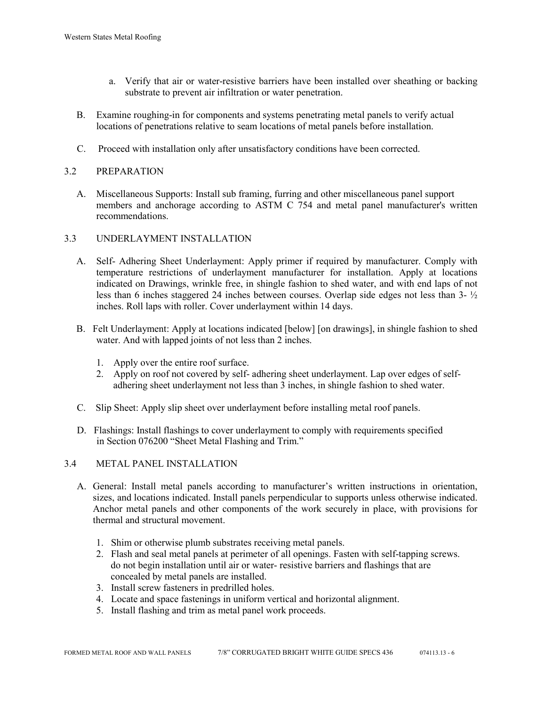- a. Verify that air or water-resistive barriers have been installed over sheathing or backing substrate to prevent air infiltration or water penetration.
- B. Examine roughing-in for components and systems penetrating metal panels to verify actual locations of penetrations relative to seam locations of metal panels before installation.
- C. Proceed with installation only after unsatisfactory conditions have been corrected.

# 3.2 PREPARATION

 A. Miscellaneous Supports: Install sub framing, furring and other miscellaneous panel support members and anchorage according to ASTM C 754 and metal panel manufacturer's written recommendations.

### 3.3 UNDERLAYMENT INSTALLATION

- A. Self- Adhering Sheet Underlayment: Apply primer if required by manufacturer. Comply with temperature restrictions of underlayment manufacturer for installation. Apply at locations indicated on Drawings, wrinkle free, in shingle fashion to shed water, and with end laps of not less than 6 inches staggered 24 inches between courses. Overlap side edges not less than 3- ½ inches. Roll laps with roller. Cover underlayment within 14 days.
- B. Felt Underlayment: Apply at locations indicated [below] [on drawings], in shingle fashion to shed water. And with lapped joints of not less than 2 inches.
	- 1. Apply over the entire roof surface.
	- 2. Apply on roof not covered by self- adhering sheet underlayment. Lap over edges of self adhering sheet underlayment not less than 3 inches, in shingle fashion to shed water.
- C. Slip Sheet: Apply slip sheet over underlayment before installing metal roof panels.
- D. Flashings: Install flashings to cover underlayment to comply with requirements specified in Section 076200 "Sheet Metal Flashing and Trim."

#### 3.4 METAL PANEL INSTALLATION

- A. General: Install metal panels according to manufacturer's written instructions in orientation, sizes, and locations indicated. Install panels perpendicular to supports unless otherwise indicated. Anchor metal panels and other components of the work securely in place, with provisions for thermal and structural movement.
	- 1. Shim or otherwise plumb substrates receiving metal panels.
	- 2. Flash and seal metal panels at perimeter of all openings. Fasten with self-tapping screws. do not begin installation until air or water- resistive barriers and flashings that are concealed by metal panels are installed.
	- 3. Install screw fasteners in predrilled holes.
	- 4. Locate and space fastenings in uniform vertical and horizontal alignment.
	- 5. Install flashing and trim as metal panel work proceeds.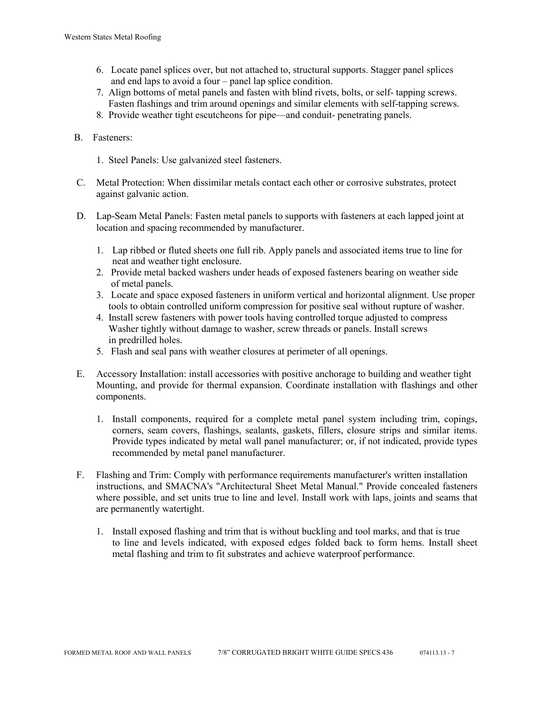- 6. Locate panel splices over, but not attached to, structural supports. Stagger panel splices and end laps to avoid a four – panel lap splice condition.
- 7. Align bottoms of metal panels and fasten with blind rivets, bolts, or self- tapping screws. Fasten flashings and trim around openings and similar elements with self-tapping screws.
- 8. Provide weather tight escutcheons for pipe—and conduit- penetrating panels.
- B. Fasteners:
	- 1. Steel Panels: Use galvanized steel fasteners.
- C. Metal Protection: When dissimilar metals contact each other or corrosive substrates, protect against galvanic action.
- D. Lap-Seam Metal Panels: Fasten metal panels to supports with fasteners at each lapped joint at location and spacing recommended by manufacturer.
	- 1. Lap ribbed or fluted sheets one full rib. Apply panels and associated items true to line for neat and weather tight enclosure.
	- 2. Provide metal backed washers under heads of exposed fasteners bearing on weather side of metal panels.
	- 3. Locate and space exposed fasteners in uniform vertical and horizontal alignment. Use proper tools to obtain controlled uniform compression for positive seal without rupture of washer.
	- 4. Install screw fasteners with power tools having controlled torque adjusted to compress Washer tightly without damage to washer, screw threads or panels. Install screws in predrilled holes.
	- 5. Flash and seal pans with weather closures at perimeter of all openings.
- E. Accessory Installation: install accessories with positive anchorage to building and weather tight Mounting, and provide for thermal expansion. Coordinate installation with flashings and other components.
	- 1. Install components, required for a complete metal panel system including trim, copings, corners, seam covers, flashings, sealants, gaskets, fillers, closure strips and similar items. Provide types indicated by metal wall panel manufacturer; or, if not indicated, provide types recommended by metal panel manufacturer.
- F. Flashing and Trim: Comply with performance requirements manufacturer's written installation instructions, and SMACNA's "Architectural Sheet Metal Manual." Provide concealed fasteners where possible, and set units true to line and level. Install work with laps, joints and seams that are permanently watertight.
	- 1. Install exposed flashing and trim that is without buckling and tool marks, and that is true to line and levels indicated, with exposed edges folded back to form hems. Install sheet metal flashing and trim to fit substrates and achieve waterproof performance.